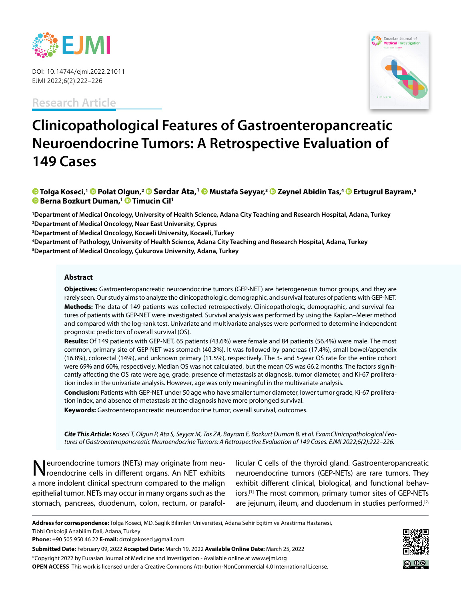

DOI: 10.14744/ejmi.2022.21011 EJMI 2022;6(2):222–226

**Research Article**



# **Clinicopathological Features of Gastroenteropancreatic Neuroendocrine Tumors: A Retrospective Evaluation of 149 Cases**

## **[T](https://orcid.org/0000-0002-8696-0525
)olga Koseci,1Polat Olgun,2 Serdar Ata,1 [M](https://orcid.org/0000-0002-4841-7994
)ustafa Seyyar,[3 Z](https://orcid.org/0000-0002-5504-4487
)eynel Abidin Tas,4Ertugrul Bayram,5 Berna Bozkurt Duman,1 [T](https://orcid.org/0000-0002-5033-1479
)imucin Cil1**

 **Department of Medical Oncology, University of Health Science, Adana City Teaching and Research Hospital, Adana, Turkey Department of Medical Oncology, Near East University, Cyprus Department of Medical Oncology, Kocaeli University, Kocaeli, Turkey Department of Pathology, University of Health Science, Adana City Teaching and Research Hospital, Adana, Turkey Department of Medical Oncology, Çukurova University, Adana, Turkey**

#### **Abstract**

**Objectives:** Gastroenteropancreatic neuroendocrine tumors (GEP-NET) are heterogeneous tumor groups, and they are rarely seen. Our study aims to analyze the clinicopathologic, demographic, and survival features of patients with GEP-NET. **Methods:** The data of 149 patients was collected retrospectively. Clinicopathologic, demographic, and survival features of patients with GEP-NET were investigated. Survival analysis was performed by using the Kaplan–Meier method and compared with the log-rank test. Univariate and multivariate analyses were performed to determine independent prognostic predictors of overall survival (OS).

**Results:** Of 149 patients with GEP-NET, 65 patients (43.6%) were female and 84 patients (56.4%) were male. The most common, primary site of GEP-NET was stomach (40.3%). It was followed by pancreas (17.4%), small bowel/appendix (16.8%), colorectal (14%), and unknown primary (11.5%), respectively. The 3- and 5-year OS rate for the entire cohort were 69% and 60%, respectively. Median OS was not calculated, but the mean OS was 66.2 months. The factors significantly affecting the OS rate were age, grade, presence of metastasis at diagnosis, tumor diameter, and Ki-67 proliferation index in the univariate analysis. However, age was only meaningful in the multivariate analysis.

**Conclusion:** Patients with GEP-NET under 50 age who have smaller tumor diameter, lower tumor grade, Ki-67 proliferation index, and absence of metastasis at the diagnosis have more prolonged survival.

**Keywords:** Gastroenteropancreatic neuroendocrine tumor, overall survival, outcomes.

*Cite This Article: Koseci T, Olgun P, Ata S, Seyyar M, Tas ZA, Bayram E, Bozkurt Duman B, et al. ExamClinicopathological Features of Gastroenteropancreatic Neuroendocrine Tumors: A Retrospective Evaluation of 149 Cases. EJMI 2022;6(2):222–226.*

Neuroendocrine tumors (NETs) may originate from neuroendocrine cells in different organs. An NET exhibits a more indolent clinical spectrum compared to the malign epithelial tumor. NETs may occur in many organs such as the stomach, pancreas, duodenum, colon, rectum, or parafol-

licular C cells of the thyroid gland. Gastroenteropancreatic neuroendocrine tumors (GEP-NETs) are rare tumors. They exhibit different clinical, biological, and functional behaviors.<sup>[1]</sup> The most common, primary tumor sites of GEP-NETs are jejunum, ileum, and duodenum in studies performed.<sup>[2,1</sup>]

Tibbi Onkoloji Anabilim Dali, Adana, Turkey

**Submitted Date:** February 09, 2022 **Accepted Date:** March 19, 2022 **Available Online Date:** March 25, 2022

©Copyright 2022 by Eurasian Journal of Medicine and Investigation - Available online at www.ejmi.org **OPEN ACCESS** This work is licensed under a Creative Commons Attribution-NonCommercial 4.0 International License.



**Address for correspondence:** Tolga Koseci, MD. Saglik Bilimleri Universitesi, Adana Sehir Egitim ve Arastirma Hastanesi,

**Phone:** +90 505 950 46 22 **E-mail:** drtolgakoseci@gmail.com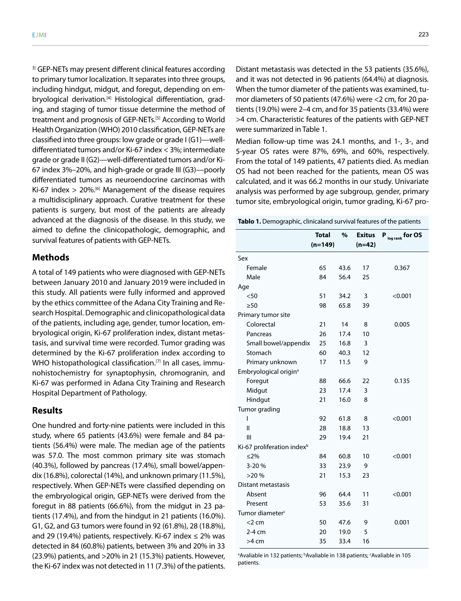<sup>3]</sup> GEP-NETs may present different clinical features according to primary tumor localization. It separates into three groups, including hindgut, midgut, and foregut, depending on embryological derivation.<sup>[4]</sup> Histological differentiation, grading, and staging of tumor tissue determine the method of treatment and prognosis of GEP-NETs.[5] According to World Health Organization (WHO) 2010 classification, GEP-NETs are classified into three groups: low grade or grade I (G1)—welldifferentiated tumors and/or Ki-67 index < 3%; intermediate grade or grade II (G2)—well-differentiated tumors and/or Ki-67 index 3%–20%, and high-grade or grade III (G3)—poorly differentiated tumors as neuroendocrine carcinomas with Ki-67 index  $> 20\%$ .<sup>[6]</sup> Management of the disease requires a multidisciplinary approach. Curative treatment for these patients is surgery, but most of the patients are already advanced at the diagnosis of the disease. In this study, we aimed to define the clinicopathologic, demographic, and survival features of patients with GEP-NETs.

#### **Methods**

A total of 149 patients who were diagnosed with GEP-NETs between January 2010 and January 2019 were included in this study. All patients were fully informed and approved by the ethics committee of the Adana City Training and Research Hospital. Demographic and clinicopathological data of the patients, including age, gender, tumor location, embryological origin, Ki-67 proliferation index, distant metastasis, and survival time were recorded. Tumor grading was determined by the Ki-67 proliferation index according to WHO histopathological classification.<sup>[7]</sup> In all cases, immunohistochemistry for synaptophysin, chromogranin, and Ki-67 was performed in Adana City Training and Research Hospital Department of Pathology.

## **Results**

One hundred and forty-nine patients were included in this study, where 65 patients (43.6%) were female and 84 patients (56.4%) were male. The median age of the patients was 57.0. The most common primary site was stomach (40.3%), followed by pancreas (17.4%), small bowel/appendix (16.8%), colorectal (14%), and unknown primary (11.5%), respectively. When GEP-NETs were classified depending on the embryological origin, GEP-NETs were derived from the foregut in 88 patients (66.6%), from the midgut in 23 patients (17.4%), and from the hindgut in 21 patients (16.0%). G1, G2, and G3 tumors were found in 92 (61.8%), 28 (18.8%), and 29 (19.4%) patients, respectively. Ki-67 index  $\leq$  2% was detected in 84 (60.8%) patients, between 3% and 20% in 33 (23.9%) patients, and >20% in 21 (15.3%) patients. However, the Ki-67 index was not detected in 11 (7.3%) of the patients.

Distant metastasis was detected in the 53 patients (35.6%), and it was not detected in 96 patients (64.4%) at diagnosis. When the tumor diameter of the patients was examined, tumor diameters of 50 patients (47.6%) were <2 cm, for 20 patients (19.0%) were 2–4 cm, and for 35 patients (33.4%) were >4 cm. Characteristic features of the patients with GEP-NET were summarized in Table 1.

Median follow-up time was 24.1 months, and 1-, 3-, and 5-year OS rates were 87%, 69%, and 60%, respectively. From the total of 149 patients, 47 patients died. As median OS had not been reached for the patients, mean OS was calculated, and it was 66.2 months in our study. Univariate analysis was performed by age subgroup, gender, primary tumor site, embryological origin, tumor grading, Ki-67 pro-

**Tablo 1.** Demographic, clinicaland survival features of the patients

|                                        | <b>Total</b> | %    | <b>Exitus</b> | P log rank for OS |
|----------------------------------------|--------------|------|---------------|-------------------|
|                                        | $(n=149)$    |      | $(n=42)$      |                   |
| Sex                                    |              |      |               |                   |
| Female                                 | 65           | 43.6 | 17            | 0.367             |
| Male                                   | 84           | 56.4 | 25            |                   |
| Age                                    |              |      |               |                   |
| $50$                                   | 51           | 34.2 | 3             | < 0.001           |
| $\geq 50$                              | 98           | 65.8 | 39            |                   |
| Primary tumor site                     |              |      |               |                   |
| Colorectal                             | 21           | 14   | 8             | 0.005             |
| Pancreas                               | 26           | 17.4 | 10            |                   |
| Small bowel/appendix                   | 25           | 16.8 | 3             |                   |
| Stomach                                | 60           | 40.3 | 12            |                   |
| Primary unknown                        | 17           | 11.5 | 9             |                   |
| Embryological origin <sup>a</sup>      |              |      |               |                   |
| Foregut                                | 88           | 66.6 | 22            | 0.135             |
| Midgut                                 | 23           | 17.4 | 3             |                   |
| Hindgut                                | 21           | 16.0 | 8             |                   |
| Tumor grading                          |              |      |               |                   |
| ı                                      | 92           | 61.8 | 8             | < 0.001           |
| $\mathbf{I}$                           | 28           | 18.8 | 13            |                   |
| III                                    | 29           | 19.4 | 21            |                   |
| Ki-67 proliferation index <sup>b</sup> |              |      |               |                   |
| $≤2\%$                                 | 84           | 60.8 | 10            | < 0.001           |
| 3-20%                                  | 33           | 23.9 | 9             |                   |
| >20%                                   | 21           | 15.3 | 23            |                   |
| <b>Distant metastasis</b>              |              |      |               |                   |
| Absent                                 | 96           | 64.4 | 11            | < 0.001           |
| Present                                | 53           | 35.6 | 31            |                   |
| Tumor diameter <sup>c</sup>            |              |      |               |                   |
| $<$ 2 cm                               | 50           | 47.6 | 9             | 0.001             |
| 2-4 cm                                 | 20           | 19.0 | 5             |                   |
| $>4$ cm                                | 35           | 33.4 | 16            |                   |

<sup>a</sup> Avaliable in 132 patients; <sup>b</sup> Avaliable in 138 patients; <sup>c</sup> Avaliable in 105 patients.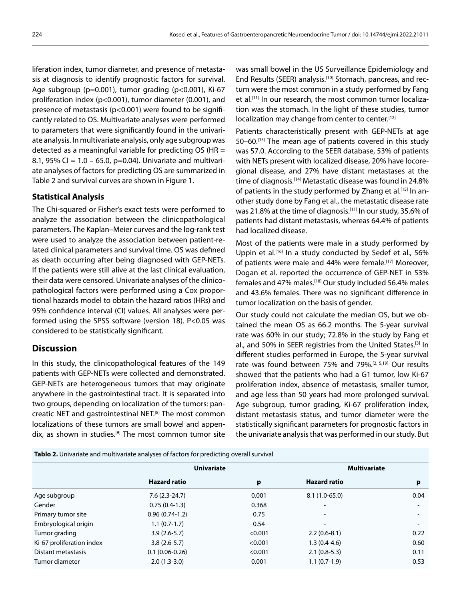liferation index, tumor diameter, and presence of metastasis at diagnosis to identify prognostic factors for survival. Age subgroup (p=0.001), tumor grading (p<0.001), Ki-67 proliferation index (p<0.001), tumor diameter (0.001), and presence of metastasis (p<0.001) were found to be significantly related to OS. Multivariate analyses were performed to parameters that were significantly found in the univariate analysis. In multivariate analysis, only age subgroup was detected as a meaningful variable for predicting OS (HR = 8.1, 95% CI =  $1.0 - 65.0$ , p=0.04). Univariate and multivariate analyses of factors for predicting OS are summarized in Table 2 and survival curves are shown in Figure 1.

## **Statistical Analysis**

The Chi-squared or Fisher's exact tests were performed to analyze the association between the clinicopathological parameters. The Kaplan–Meier curves and the log-rank test were used to analyze the association between patient-related clinical parameters and survival time. OS was defined as death occurring after being diagnosed with GEP-NETs. If the patients were still alive at the last clinical evaluation, their data were censored. Univariate analyses of the clinicopathological factors were performed using a Cox proportional hazards model to obtain the hazard ratios (HRs) and 95% confidence interval (CI) values. All analyses were performed using the SPSS software (version 18). P<0.05 was considered to be statistically significant.

## **Discussion**

In this study, the clinicopathological features of the 149 patients with GEP-NETs were collected and demonstrated. GEP-NETs are heterogeneous tumors that may originate anywhere in the gastrointestinal tract. It is separated into two groups, depending on localization of the tumors: pancreatic NET and gastrointestinal NET.<sup>[8]</sup> The most common localizations of these tumors are small bowel and appendix, as shown in studies.<sup>[9]</sup> The most common tumor site

was small bowel in the US Surveillance Epidemiology and End Results (SEER) analysis.<sup>[10]</sup> Stomach, pancreas, and rectum were the most common in a study performed by Fang et al.<sup>[11]</sup> In our research, the most common tumor localization was the stomach. In the light of these studies, tumor localization may change from center to center.[12]

Patients characteristically present with GEP-NETs at age 50–60.[13] The mean age of patients covered in this study was 57.0. According to the SEER database, 53% of patients with NETs present with localized disease, 20% have locoregional disease, and 27% have distant metastases at the time of diagnosis.<sup>[14]</sup> Metastatic disease was found in 24.8% of patients in the study performed by Zhang et al.[15] In another study done by Fang et al., the metastatic disease rate was 21.8% at the time of diagnosis.[11] In our study, 35.6% of patients had distant metastasis, whereas 64.4% of patients had localized disease.

Most of the patients were male in a study performed by Uppin et al.<sup>[16]</sup> In a study conducted by Sedef et al., 56% of patients were male and 44% were female.<sup>[17]</sup> Moreover, Dogan et al. reported the occurrence of GEP-NET in 53% females and 47% males.[18] Our study included 56.4% males and 43.6% females. There was no significant difference in tumor localization on the basis of gender.

Our study could not calculate the median OS, but we obtained the mean OS as 66.2 months. The 5-year survival rate was 60% in our study; 72.8% in the study by Fang et al., and 50% in SEER registries from the United States.<sup>[3]</sup> In different studies performed in Europe, the 5-year survival rate was found between 75% and 79%.[2, 5,19] Our results showed that the patients who had a G1 tumor, low Ki-67 proliferation index, absence of metastasis, smaller tumor, and age less than 50 years had more prolonged survival. Age subgroup, tumor grading, Ki-67 proliferation index, distant metastasis status, and tumor diameter were the statistically significant parameters for prognostic factors in the univariate analysis that was performed in our study. But

**Tablo 2.** Univariate and multivariate analyses of factors for predicting overall survival

|                           | <b>Univariate</b>   |         | <b>Multivariate</b>      |                          |  |
|---------------------------|---------------------|---------|--------------------------|--------------------------|--|
|                           | <b>Hazard ratio</b> | p       | <b>Hazard ratio</b>      | p                        |  |
| Age subgroup              | $7.6(2.3-24.7)$     | 0.001   | $8.1(1.0-65.0)$          | 0.04                     |  |
| Gender                    | $0.75(0.4-1.3)$     | 0.368   | $\overline{\phantom{0}}$ | $\overline{\phantom{0}}$ |  |
| Primary tumor site        | $0.96(0.74-1.2)$    | 0.75    | $\overline{\phantom{a}}$ |                          |  |
| Embryological origin      | $1.1(0.7-1.7)$      | 0.54    |                          |                          |  |
| Tumor grading             | $3.9(2.6-5.7)$      | < 0.001 | $2.2(0.6-8.1)$           | 0.22                     |  |
| Ki-67 proliferation index | $3.8(2.6-5.7)$      | < 0.001 | $1.3(0.4-4.6)$           | 0.60                     |  |
| Distant metastasis        | $0.1(0.06-0.26)$    | < 0.001 | $2.1(0.8-5.3)$           | 0.11                     |  |
| Tumor diameter            | $2.0(1.3-3.0)$      | 0.001   | $1.1(0.7-1.9)$           | 0.53                     |  |
|                           |                     |         |                          |                          |  |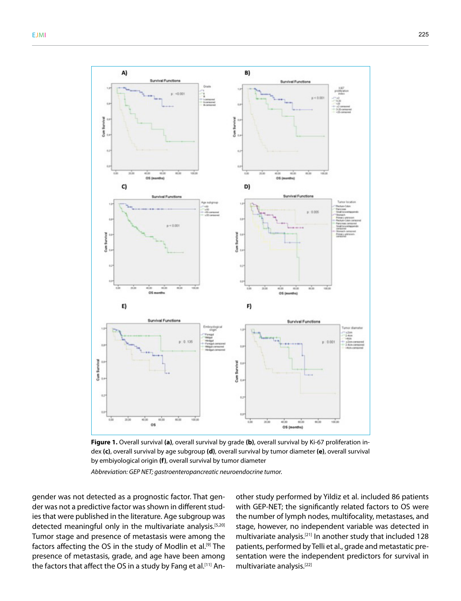

**Figure 1.** Overall survival **(a)**, overall survival by grade **(b)**, overall survival by Ki-67 proliferation index **(c)**, overall survival by age subgroup **(d)**, overall survival by tumor diameter **(e)**, overall survival by embiyological origin **(f)**, overall survival by tumor diameter

*Abbreviation: GEP NET; gastroenteropancreatic neuroendocrine tumor.*

gender was not detected as a prognostic factor. That gender was not a predictive factor was shown in different studies that were published in the literature. Age subgroup was detected meaningful only in the multivariate analysis.<sup>[5,20]</sup> Tumor stage and presence of metastasis were among the factors affecting the OS in the study of Modlin et al.<sup>[9]</sup> The presence of metastasis, grade, and age have been among the factors that affect the OS in a study by Fang et al.<sup>[11]</sup> Another study performed by Yildiz et al. included 86 patients with GEP-NET; the significantly related factors to OS were the number of lymph nodes, multifocality, metastases, and stage, however, no independent variable was detected in multivariate analysis.[21] In another study that included 128 patients, performed by Telli et al., grade and metastatic presentation were the independent predictors for survival in multivariate analysis.[22]